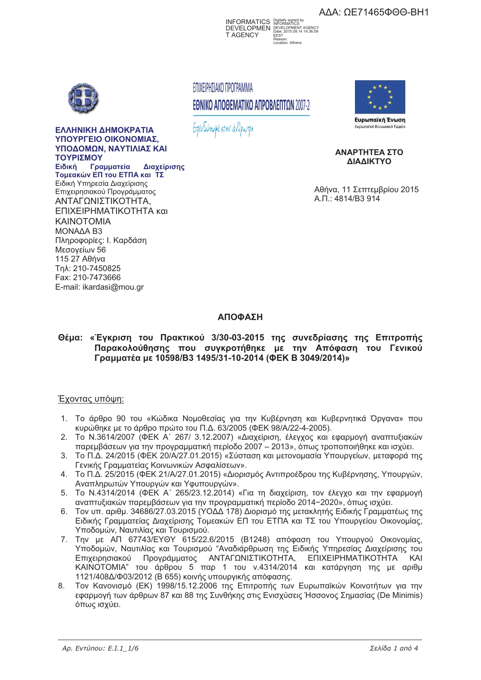ΑΔΑ: ΩΕ71465ΦΘΘ-ΒΗ1



ΕΛΛΗΝΙΚΗ ΔΗΜΟΚΡΑΤΙΑ **YROVPEEIO OIKONOMIAS YROAOMON NAYTIAIAS KA TΩΥΡΙΣΜΩΥ Ειδική Γ** *<u>Γραμματεία</u>* **- ! "#\$ - "% -** - 
  Επιχειρησιακού Προγράμματος ΑΝΤΑΓΩΝΙΣΤΙΚΟΤΗΤΑ. ΕΠΙΧΕΙΡΗΜΑΤΙΚΟΤΗΤΑ και **KAINOTOMIA** MONAAA B3 Πληροφορίες: Ι. Καρδάση Μεσονείων 56  $11527$   $A\theta$ ńva Tn $\lambda$ : 210-7450825 Fax: 210-7473666 E-mail: ikardasi@mou.gr

## ΕΠΙΧΕΙΡΗΣΙΑΚΟ ΠΡΟΓΡΑΜΜΑ ΕΘΝΙΚΟ ΑΠΟΘΕΜΑΤΙΚΟ ΑΠΡΟΒΛΕΠΤΩΝ 2007-2

Επενδύουμε στον άνθρωπο



ΑΝΑΡΤΗΤΕΑ ΣΤΟ **AIAAIKTYO** 

Αθήνα, 11 Σεπτεμβρίου 2015 A.N.: 4814/B3 914

# **&**

#### Θέμα: «Έγκριση του Πρακτικού 3/30-03-2015 της συνεδρίασης της Επιτροπής Παρακολούθησης που συγκροτήθηκε με την Απόφαση του Γενικού **Γραμματέα με 10598/B3 1495/31-10-2014 (ΦΕΚ Β 3049/2014)» ( 1059)**<br> **(** 1059)<br> **(** 1059)<br> **(** 1059)<br> **(** 1059)<br> **(** 1059)<br> **(** 1059)<br> **(** 1059)<br> **(** 1059)<br> **( < 3049/2014)»**

## Έχοντας υπόψη:

- 1. Το άρθρο 90 του «Κώδικα Νομοθεσίας για την Κυβέρνηση και Κυβερνητικά Όργανα» που κυρώθηκε με το άρθρο πρώτο του Π.Δ. 63/2005 (ΦΕΚ 98/A/22-4-2005).
- 2. Το Ν.3614/2007 (ΦΕΚ Α΄ 267/ 3.12.2007) «Διαχείριση, έλεγχος και εφαρμογή αναπτυξιακών παρεμβάσεων για την προγραμματική περίοδο 2007 – 2013», όπως τροποποιήθηκε και ισχύει.
- 3. Το Π.Δ. 24/2015 (ΦΕΚ 20/Α/27.01.2015) «Σύσταση και μετονομασία Υπουργείων, μεταφορά της Γενικής Γραμματείας Κοινωνικών Ασφαλίσεων».
- 4. Το Π.Δ. 25/2015 (ΦΕΚ 21/Α/27.01.2015) «Διορισμός Αντιπροέδρου της Κυβέρνησης, Υπουργών, Αναπληρωτών Υπουργών και Υφυπουργών».
- 5. Το N.4314/2014 (ΦΕΚ Α΄ 265/23.12.2014) «Για τη διαχείριση, τον έλεγχο και την εφαρμογή αναπτυξιακών παρεμβάσεων για την προγραμματική περίοδο 2014–2020», όπως ισχύει.
- 6. Τον υπ. αριθμ. 34686/27.03.2015 (ΥΟΔΔ 178) Διορισμό της μετακλητής Ειδικής Γραμματέως της Ειδικής Γραμματείας Διαχείρισης Τομεακών ΕΠ του ΕΤΠΑ και ΤΣ του Υπουργείου Οικονομίας, Υποδομών, Ναυτιλίας και Τουρισμού.
- 7. Την με ΑΠ 67743/ΕΥΘΥ 615/22.6/2015 (Β1248) απόφαση του Υπουργού Οικονομίας, Υποδομών, Ναυτιλίας και Τουρισμού "Αναδιάρθρωση της Ειδικής Υπηρεσίας Διαχείρισης του Επιχειρησιακού Πρ ογράμματος ΑΝΤΑΓΩΝΙΣΤΙΚΟΤΗΤΑ, Ε TIIXEIPHMATIKOTHTA KAI ΚΑΙΝΟΤΟΜΙΑ" του άρθρου 5 παρ 1 του ν.4314/2014 και κατάργηση της με αριθμ 1121/408Δ/Φ03/2012 (Β 655) κοινής υπουργικής απόφασης.
- 8. Τον Κανονισμό (ΕΚ) 1998/15.12.2006 της Επιτροπής των Ευρωπαϊκών Κοινοτήτων για την εφαρμογή των άρθρων 87 και 88 της Συνθήκης στις Ενισχύσεις Ήσσονος Σημασίας (De Minimis) όπως ισχύει.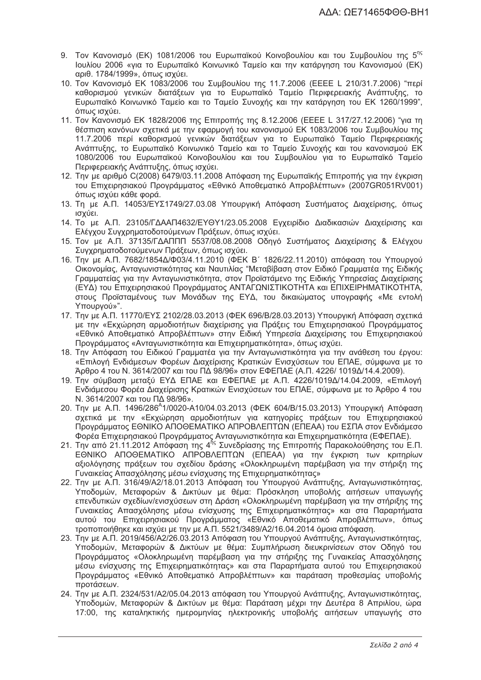- 9. Τον Κανονισμό (ΕΚ) 1081/2006 του Ευρωπαϊκού Κοινοβουλίου και του Συμβουλίου της 5<sup>ης</sup> Ιουλίου 2006 «για το Ευρωπαϊκό Κοινωνικό Ταμείο και την κατάργηση του Κανονισμού (ΕΚ) αριθ. 1784/1999», όπως ισχύει.
- 10. Τον Κανονισμό ΕΚ 1083/2006 του Συμβουλίου της 11.7.2006 (ΕΕΕΕ L 210/31.7.2006) "περί καθορισμού γενικών διατάξεων για το Ευρωπαϊκό Ταμείο Περιφερειακής Ανάπτυξης, το Ευρωπαϊκό Κοινωνικό Ταμείο και το Ταμείο Συνοχής και την κατάργηση του ΕΚ 1260/1999", όπως ισχύει.
- 11. Τον Κανονισμό ΕΚ 1828/2006 της Επιτροπής της 8.12.2006 (ΕΕΕΕ L 317/27.12.2006) "για τη θέσπιση κανόνων σχετικά με την εφαρμογή του κανονισμού ΕΚ 1083/2006 του Συμβουλίου της 11.7.2006 περί καθορισμού γενικών διατάξεων για το Ευρωπαϊκό Ταμείο Περιφερειακής Ανάπτυξης, το Ευρωπαϊκό Κοινωνικό Ταμείο και το Ταμείο Συνοχής και του κανονισμού ΕΚ 1080/2006 του Ευρωπαϊκού Κοινοβουλίου και του Συμβουλίου για το Ευρωπαϊκό Ταμείο Περιφερειακής Ανάπτυξης, όπως ισχύει.
- 12. Την με αριθμό C(2008) 6479/03.11.2008 Απόφαση της Ευρωπαϊκής Επιτροπής για την έγκριση του Επιχειρησιακού Προγράμματος «Εθνικό Αποθεματικό Απροβλέπτων» (2007GR051RV001) όπως ισχύει κάθε φορά.
- 13. Τη με Α.Π. 14053/ΕΥΣ1749/27.03.08 Υπουργική Απόφαση Συστήματος Διαχείρισης, όπως ισχύει.
- 14. Το με Α.Π. 23105/ΓΔΑΑΠ4632/ΕΥΘΥ1/23.05.2008 Εγχειρίδιο Διαδικασιών Διαχείρισης και Ελέγχου Συγχρηματοδοτούμενων Πράξεων, όπως ισχύει.
- 15. Τον με Α.Π. 37135/ΓΔΑΠΠΠ 5537/08.08.2008 Οδηγό Συστήματος Διαχείρισης & Ελέγχου Συγχρηματοδοτούμενων Πράξεων, όπως ισχύει.
- 16. Την με Α.Π. 7682/1854Δ/Φ03/4.11.2010 (ΦΕΚ Β΄ 1826/22.11.2010) απόφαση του Υπουργού Οικονομίας, Ανταγωνιστικότητας και Ναυτιλίας "Μεταβίβαση στον Ειδικό Γραμματέα της Ειδικής Γραμματείας για την Ανταγωνιστικότητα, στον Προϊστάμενο της Ειδικής Υπηρεσίας Διαχείρισης (ΕΥΔ) του Επιχειρησιακού Προγράμματος ΑΝΤΑΓΩΝΙΣΤΙΚΟΤΗΤΑ και ΕΠΙΧΕΙΡΗΜΑΤΙΚΟΤΗΤΑ, στους Προϊσταμένους των Μονάδων της ΕΥΔ, του δικαιώματος υπογραφής «Με εντολή Yπουργού»".
- 17. Την με Α.Π. 11770/ΕΥΣ 2102/28.03.2013 (ΦΕΚ 696/Β/28.03.2013) Υπουργική Απόφαση σχετικά με την «Εκχώρηση αρμοδιοτήτων διαχείρισης για Πράξεις του Επιχειρησιακού Προγράμματος «Εθνικό Αποθεματικό Απροβλέπτων» στην Ειδική Υπηρεσία Διαχείρισης του Επιχειρησιακού Προγράμματος «Ανταγωνιστικότητα και Επιχειρηματικότητα», όπως ισχύει.
- 18. Την Απόφαση του Ειδικού Γραμματέα για την Ανταγωνιστικότητα για την ανάθεση του έργου: «Επιλογή Ενδιάμεσων Φορέων Διαχείρισης Κρατικών Ενισχύσεων του ΕΠΑΕ, σύμφωνα με το Άρθρο 4 του Ν. 3614/2007 και του ΠΔ 98/96» στον ΕΦΕΠΑΕ (Α.Π. 4226/ 1019Δ/14.4.2009).
- 19. Την σύμβαση μεταξύ ΕΥΔ ΕΠΑΕ και ΕΦΕΠΑΕ με Α.Π. 4226/1019Δ/14.04.2009, «Επιλογή Ενδιάμεσου Φορέα Διαχείρισης Κρατικών Ενισχύσεων του ΕΠΑΕ, σύμφωνα με το Άρθρο 4 του Ν. 3614/2007 και του ΠΔ 98/96».
- 20. Την με Α.Π. 1496/286<sup>A</sup>1/0020-A10/04.03.2013 (ΦΕΚ 604/Β/15.03.2013) Υπουργική Απόφαση σχετικά με την «Εκχώρηση αρμοδιοτήτων για κατηγορίες πράξεων του Επιχειρησιακού Προγράμματος ΕΘΝΙΚΟ ΑΠΟΘΕΜΑΤΙΚΟ ΑΠΡΟΒΛΕΠΤΩΝ (ΕΠΕΑΑ) του ΕΣΠΑ στον Ενδιάμεσο Φορέα Επιχειρησιακού Προγράμματος Ανταγωνιστικότητα και Επιχειρηματικότητα (ΕΦΕΠΑΕ).
- 21. Την από 21.11.2012 Απόφαση της 4<sup>ής</sup> Συνεδρίασης της Επιτροπής Παρακολούθησης του Ε.Π. ΕΘΝΙΚΟ ΑΠΟΘΕΜΑΤΙΚΟ ΑΠΡΟΒΛΕΠΤΩΝ (ΕΠΕΑΑ) για την έγκριση των κριτηρίων αξιολόγησης πράξεων του σχεδίου δράσης «Ολοκληρωμένη παρέμβαση για την στήριξη της Γυναικείας Απασχόλησης μέσω ενίσχυσης της Επιχειρηματικότητας»
- 22. Την με Α.Π. 316/49/Α2/18.01.2013 Απόφαση του Υπουργού Ανάπτυξης, Ανταγωνιστικότητας, Υποδομών, Μεταφορών & Δικτύων με θέμα: Πρόσκληση υποβολής αιτήσεων υπαγωγής επενδυτικών σχεδίων/ενισχύσεων στη Δράση «Ολοκληρωμένη παρέμβαση για την στήριξης της Γυναικείας Απασχόλησης μέσω ενίσχυσης της Επιχειρηματικότητας» και στα Παραρτήματα αυτού του Επιχειρησιακού Προγράμματος «Εθνικό Αποθεματικό Απροβλέπτων», όπως τροποποιήθηκε και ισχύει με την με Α.Π. 5521/3489/Α2/16.04.2014 όμοια απόφαση.
- 23. Την με Α.Π. 2019/456/Α2/26.03.2013 Απόφαση του Υπουργού Ανάπτυξης, Ανταγωνιστικότητας, Υποδομών, Μεταφορών & Δικτύων με θέμα: Συμπλήρωση διευκρινίσεων στον Οδηγό του Προγράμματος «Ολοκληρωμένη παρέμβαση για την στήριξης της Γυναικείας Απασχόλησης μέσω ενίσχυσης της Επιχειρηματικότητας» και στα Παραρτήματα αυτού του Επιχειρησιακού Προγράμματος «Εθνικό Αποθεματικό Απροβλέπτων» και παράταση προθεσμίας υποβολής προτάσεων.
- 24. Την με Α.Π. 2324/531/Α2/05.04.2013 απόφαση του Υπουργού Ανάπτυξης, Ανταγωνιστικότητας, Υποδομών, Μεταφορών & Δικτύων με θέμα: Παράταση μέχρι την Δευτέρα 8 Απριλίου, ώρα 17:00, της καταληκτικής ημερομηνίας ηλεκτρονικής υποβολής αιτήσεων υπαγωγής στο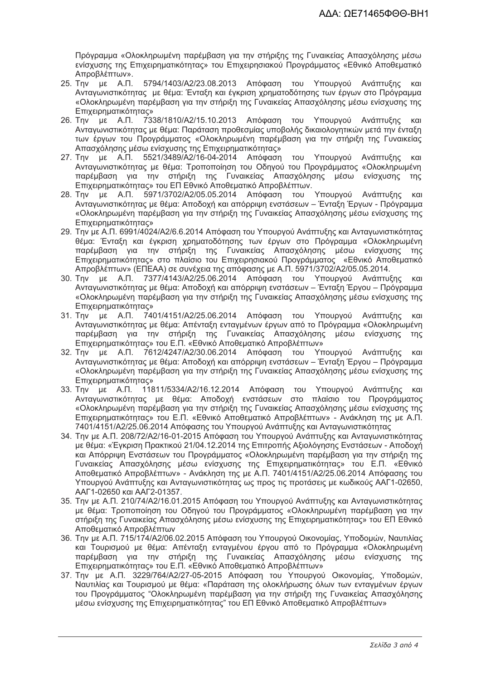Πρόγραμμα «Ολοκληρωμένη παρέμβαση για την στήριξης της Γυναικείας Απασχόλησης μέσω ενίσχυσης της Επιχειρηματικότητας» του Επιχειρησιακού Προγράμματος «Εθνικό Αποθεματικό Απροβλέπτων».

- 5794/1403/A2/23.08.2013 Απόφαση του Υπουργού Ανάπτυξης 25. Την με Α.Π.  $K$  $N$ Ανταγωνιστικότητας με θέμα: Ένταξη και έγκριση χρηματοδότησης των έργων στο Πρόγραμμα «Ολοκληρωμένη παρέμβαση για την στήριξη της Γυναικείας Απασχόλησης μέσω ενίσχυσης της Επιχειρηματικότητας»
- 26. Την με Α.Π. 7338/1810/Α2/15.10.2013 Απόφαση του Υπουργού Ανάπτυξης και Ανταγωνιστικότητας με θέμα: Παράταση προθεσμίας υποβολής δικαιολογητικών μετά την ένταξη των έργων του Προγράμματος «Ολοκληρωμένη παρέμβαση για την στήριξη της Γυναικείας Απασχόλησης μέσω ενίσχυσης της Επιχειρηματικότητας»
- 27. Την με Α.Π. 5521/3489/Α2/16-04-2014 Απόφαση του Υπουργού Ανάπτυξης και<br>Ανταγωνιστικότητας με θέμα: Τροποποίηση του Οδηγού του Προγράμματος «Ολοκληρωμένη παρέμβαση για την στήριξη της Γυναικείας Απασχόλησης μέσω ενίσχυσης της Επιχειρηματικότητας» του ΕΠ Εθνικό Αποθεματικό Απροβλέπτων.
- 28. Την με Α.Π. 5971/3702/A2/05.05.2014 Απόφαση του Υπουργού Ανάπτυξης και Ανταγωνιστικότητας με θέμα: Αποδοχή και απόρριψη ενστάσεων – Ένταξη Έργων - Πρόγραμμα «Ολοκληρωμένη παρέμβαση για την στήριξη της Γυναικείας Απασχόλησης μέσω ενίσχυσης της Επιχειρηματικότητας»
- 29. Την με Α.Π. 6991/4024/Α2/6.6.2014 Απόφαση του Υπουργού Ανάπτυξης και Ανταγωνιστικότητας θέμα: Ένταξη και έγκριση χρηματοδότησης των έργων στο Πρόγραμμα «Ολοκληρωμένη παρέμβαση για την στήριξη της Γυναικείας Απασχόλησης μέσω ενίσχυσης της Επιχειρηματικότητας» στο πλαίσιο του Επιχειρησιακού Προγράμματος «Εθνικό Αποθεματικό Απροβλέπτων» (ΕΠΕΑΑ) σε συνέχεια της απόφασης με Α.Π. 5971/3702/Α2/05.05.2014.
- 30. Την με Α.Π. 7377/4143/Α2/25.06.2014 Απόφαση του Υπουργού Ανάπτυξης και Ανταγωνιστικότητας με θέμα: Αποδοχή και απόρριψη ενστάσεων – Ένταξη Έργου – Πρόγραμμα «Ολοκληρωμένη παρέμβαση για την στήριξη της Γυναικείας Απασχόλησης μέσω ενίσχυσης της **Επιχειρηματικότητας»**
- 31. Την με Α.Π. 7401/4151/Α2/25.06.2014 Απόφαση του Υπουργού Ανάπτυξης  $KCI$ Ανταγωνιστικότητας με θέμα: Απένταξη ενταγμένων έργων από το Πρόγραμμα «Ολοκληρωμένη παρέμβαση για την στήριξη της Γυναικείας Απασχόλησης μέσω ενίσχυσης της Επιχειρηματικότητας» του Ε.Π. «Εθνικό Αποθεματικό Απροβλέπτων»
- 32. Την με Α.Π. 7612/4247/Α2/30.06.2014 Απόφαση του Υπουργού Ανάπτυξης και<br>Ανταγωνιστικότητας με θέμα: Αποδοχή και απόρριψη ενστάσεων Ένταξη Έργου Πρόγραμμα «Ολοκληρωμένη παρέμβαση για την στήριξη της Γυναικείας Απασχόλησης μέσω ενίσχυσης της Επιχειρηματικότητας»
- 33. Την με Α.Π. 11811/5334/A2/16.12.2014 Απόφαση του Υπουργού Ανάπτυξης  $KCI$ Ανταγωνιστικότητας με θέμα: Αποδοχή ενστάσεων στο πλαίσιο του Προγράμματος «Ολοκληρωμένη παρέμβαση για την στήριξη της Γυναικείας Απασχόλησης μέσω ενίσχυσης της Επιχειρηματικότητας» του Ε.Π. «Εθνικό Αποθεματικό Απροβλέπτων» - Ανάκληση της με Α.Π. 7401/4151/Α2/25.06.2014 Απόφασης του Υπουργού Ανάπτυξης και Ανταγωνιστικότητας
- 34. Την με Α.Π. 208/72/Α2/16-01-2015 Απόφαση του Υπουργού Ανάπτυξης και Ανταγωνιστικότητας με θέμα: «Έγκριση Πρακτικού 21/04.12.2014 της Επιτροπής Αξιολόγησης Ενστάσεων - Αποδοχή και Απόρριψη Ενστάσεων του Προγράμματος «Ολοκληρωμένη παρέμβαση για την στήριξη της Γυναικείας Απασχόλησης μέσω ενίσχυσης της Επιχειρηματικότητας» του Ε.Π. «Εθνικό Αποθεματικό Απροβλέπτων» - Ανάκληση της με Α.Π. 7401/4151/Α2/25.06.2014 Απόφασης του Υπουρνού Ανάπτυξης και Αντανωνιστικότητας ως προς τις προτάσεις με κωδικούς ΑΑΓ1-02650. ΑΑΓ1-02650 και ΑΑΓ2-01357.
- 35. Την με Α.Π. 210/74/Α2/16.01.2015 Απόφαση του Υπουργού Ανάπτυξης και Αντανωνιστικότητας με θέμα: Τροποποίηση του Οδηνού του Προνράμματος «Ολοκληρωμένη παρέμβαση για την στήριξη της Γυναικείας Απασχόλησης μέσω ενίσχυσης της Επιχειρηματικότητας» του ΕΠ Εθνικό Αποθεματικό Απροβλέπτων
- 36. Την με Α.Π. 715/174/Α2/06.02.2015 Απόφαση του Υπουργού Οικονομίας, Υποδομών, Ναυτιλίας και Τουρισμού με θέμα: Απένταξη ενταγμένου έργου από το Πρόγραμμα «Ολοκληρωμένη παρέμβαση για την στήριξη της Γυναικείας Απασχόλησης μέσω ενίσχυσης της<br>Επιχειρηματικότητας» του Ε.Π. «Εθνικό-Αποθεματικό-Απροβλέπτων»
- 37. Την με Α.Π. 3229/764/Α2/27-05-2015 Απόφαση του Υπουργού Οικονομίας, Υποδομών, Ναυτιλίας και Τουρισμού με θέμα: «Παράταση της ολοκλήρωσης όλων των ενταγμένων έργων του Προνράμματος "Ολοκληρωμένη παρέμβαση για την στήριξη της Γυναικείας Απασχόλησης μέσω ενίσχυσης της Επιχειρηματικότητας" του ΕΠ Εθνικό Αποθεματικό Απροβλέπτων»